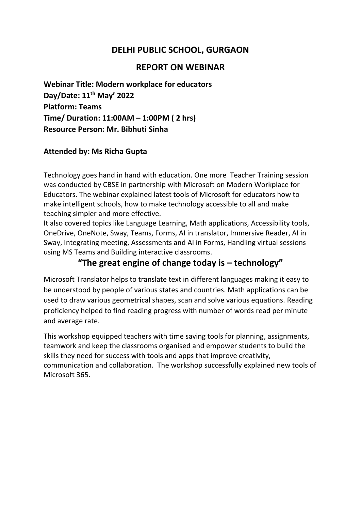## **DELHI PUBLIC SCHOOL, GURGAON**

## **REPORT ON WEBINAR**

**Webinar Title: Modern workplace for educators Day/Date: 11th May' 2022 Platform: Teams Time/ Duration: 11:00AM – 1:00PM ( 2 hrs) Resource Person: Mr. Bibhuti Sinha**

## **Attended by: Ms Richa Gupta**

Technology goes hand in hand with education. One more Teacher Training session was conducted by CBSE in partnership with Microsoft on Modern Workplace for Educators. The webinar explained latest tools of Microsoft for educators how to make intelligent schools, how to make technology accessible to all and make teaching simpler and more effective.

It also covered topics like Language Learning, Math applications, Accessibility tools, OneDrive, OneNote, Sway, Teams, Forms, AI in translator, Immersive Reader, AI in Sway, Integrating meeting, Assessments and AI in Forms, Handling virtual sessions using MS Teams and Building interactive classrooms.

## **"The great engine of change today is – technology"**

Microsoft Translator helps to translate text in different languages making it easy to be understood by people of various states and countries. Math applications can be used to draw various geometrical shapes, scan and solve various equations. Reading proficiency helped to find reading progress with number of words read per minute and average rate.

This workshop equipped teachers with time saving tools for planning, assignments, teamwork and keep the classrooms organised and empower students to build the skills they need for success with tools and apps that improve creativity, communication and collaboration. The workshop successfully explained new tools of Microsoft 365.